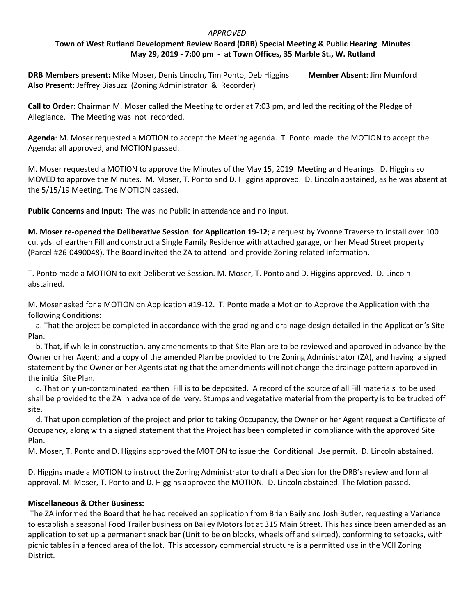## *APPROVED*

## **Town of West Rutland Development Review Board (DRB) Special Meeting & Public Hearing Minutes May 29, 2019 - 7:00 pm - at Town Offices, 35 Marble St., W. Rutland**

**DRB Members present:** Mike Moser, Denis Lincoln, Tim Ponto, Deb Higgins **Member Absent**: Jim Mumford **Also Present**: Jeffrey Biasuzzi (Zoning Administrator & Recorder)

**Call to Order**: Chairman M. Moser called the Meeting to order at 7:03 pm, and led the reciting of the Pledge of Allegiance. The Meeting was not recorded.

**Agenda**: M. Moser requested a MOTION to accept the Meeting agenda. T. Ponto made the MOTION to accept the Agenda; all approved, and MOTION passed.

M. Moser requested a MOTION to approve the Minutes of the May 15, 2019 Meeting and Hearings. D. Higgins so MOVED to approve the Minutes. M. Moser, T. Ponto and D. Higgins approved. D. Lincoln abstained, as he was absent at the 5/15/19 Meeting. The MOTION passed.

**Public Concerns and Input:** The was no Public in attendance and no input.

**M. Moser re-opened the Deliberative Session for Application 19-12**; a request by Yvonne Traverse to install over 100 cu. yds. of earthen Fill and construct a Single Family Residence with attached garage, on her Mead Street property (Parcel #26-0490048). The Board invited the ZA to attend and provide Zoning related information.

T. Ponto made a MOTION to exit Deliberative Session. M. Moser, T. Ponto and D. Higgins approved. D. Lincoln abstained.

M. Moser asked for a MOTION on Application #19-12. T. Ponto made a Motion to Approve the Application with the following Conditions:

 a. That the project be completed in accordance with the grading and drainage design detailed in the Application's Site Plan.

 b. That, if while in construction, any amendments to that Site Plan are to be reviewed and approved in advance by the Owner or her Agent; and a copy of the amended Plan be provided to the Zoning Administrator (ZA), and having a signed statement by the Owner or her Agents stating that the amendments will not change the drainage pattern approved in the initial Site Plan.

 c. That only un-contaminated earthen Fill is to be deposited. A record of the source of all Fill materials to be used shall be provided to the ZA in advance of delivery. Stumps and vegetative material from the property is to be trucked off site.

 d. That upon completion of the project and prior to taking Occupancy, the Owner or her Agent request a Certificate of Occupancy, along with a signed statement that the Project has been completed in compliance with the approved Site Plan.

M. Moser, T. Ponto and D. Higgins approved the MOTION to issue the Conditional Use permit. D. Lincoln abstained.

D. Higgins made a MOTION to instruct the Zoning Administrator to draft a Decision for the DRB's review and formal approval. M. Moser, T. Ponto and D. Higgins approved the MOTION. D. Lincoln abstained. The Motion passed.

## **Miscellaneous & Other Business:**

 The ZA informed the Board that he had received an application from Brian Baily and Josh Butler, requesting a Variance to establish a seasonal Food Trailer business on Bailey Motors lot at 315 Main Street. This has since been amended as an application to set up a permanent snack bar (Unit to be on blocks, wheels off and skirted), conforming to setbacks, with picnic tables in a fenced area of the lot. This accessory commercial structure is a permitted use in the VCII Zoning District.